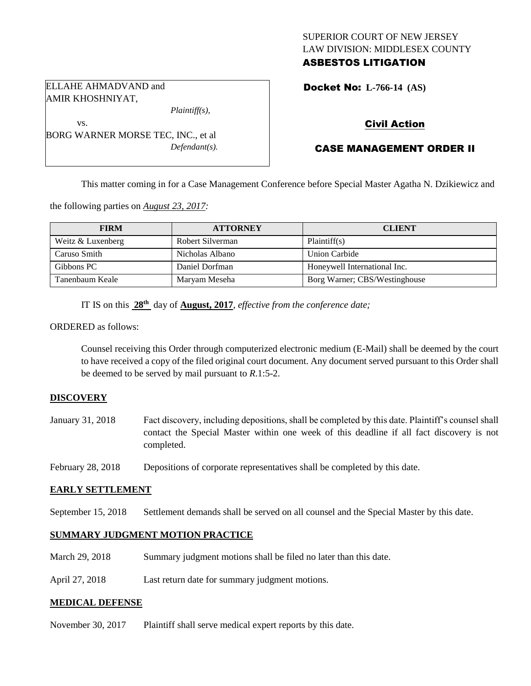# SUPERIOR COURT OF NEW JERSEY LAW DIVISION: MIDDLESEX COUNTY ASBESTOS LITIGATION

Docket No: **L-766-14 (AS)** 

# Civil Action

# CASE MANAGEMENT ORDER II

This matter coming in for a Case Management Conference before Special Master Agatha N. Dzikiewicz and

the following parties on *August 23, 2017:*

| <b>FIRM</b>       | <b>ATTORNEY</b>  | <b>CLIENT</b>                 |
|-------------------|------------------|-------------------------------|
| Weitz & Luxenberg | Robert Silverman | Plaintiff(s)                  |
| Caruso Smith      | Nicholas Albano  | Union Carbide                 |
| Gibbons PC        | Daniel Dorfman   | Honeywell International Inc.  |
| Tanenbaum Keale   | Maryam Meseha    | Borg Warner; CBS/Westinghouse |

IT IS on this  $28<sup>th</sup>$  day of **August, 2017**, *effective from the conference date*;

*Defendant(s).*

ORDERED as follows:

Counsel receiving this Order through computerized electronic medium (E-Mail) shall be deemed by the court to have received a copy of the filed original court document. Any document served pursuant to this Order shall be deemed to be served by mail pursuant to *R*.1:5-2.

#### **DISCOVERY**

- January 31, 2018 Fact discovery, including depositions, shall be completed by this date. Plaintiff's counsel shall contact the Special Master within one week of this deadline if all fact discovery is not completed.
- February 28, 2018 Depositions of corporate representatives shall be completed by this date.

## **EARLY SETTLEMENT**

September 15, 2018 Settlement demands shall be served on all counsel and the Special Master by this date.

## **SUMMARY JUDGMENT MOTION PRACTICE**

- March 29, 2018 Summary judgment motions shall be filed no later than this date.
- April 27, 2018 Last return date for summary judgment motions.

#### **MEDICAL DEFENSE**

November 30, 2017 Plaintiff shall serve medical expert reports by this date.



BORG WARNER MORSE TEC, INC., et al

ELLAHE AHMADVAND and